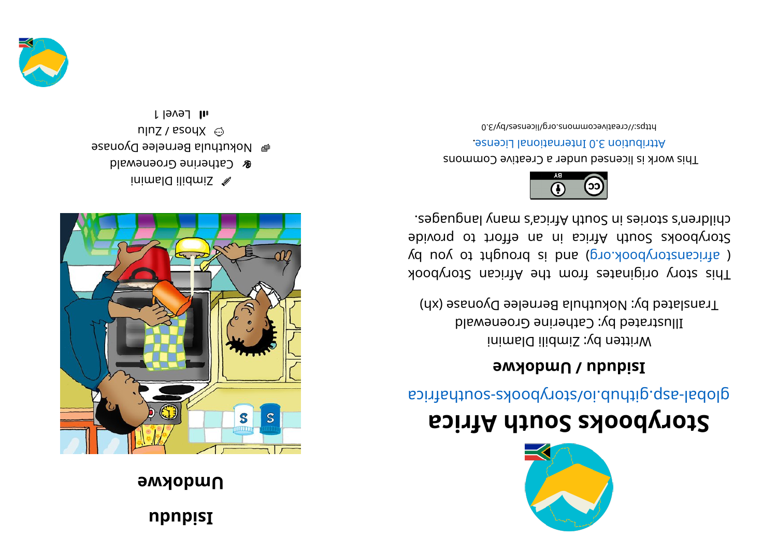## **ududi u**

## **a w b w c a** *m* **p w c** *n*  $\alpha$  *n*  $\alpha$  *n*  $\alpha$  *n*  $\alpha$  *n*  $\alpha$  *n*  $\alpha$  *n*  $\alpha$  *<i>n*  $\alpha$  *n*  $\alpha$  *<i>n*  $\alpha$  *n*  $\alpha$  *n*  $\alpha$  *<i>n*  $\alpha$  *n*  $\alpha$  *n*  $\alpha$  *<i>n*  $\alpha$  *n*  $\$



inimal  $Q$  ilidmis  $\mathscr A$ **& Catherine Groenewald e** Mokuthula Bernelee Dyonase  $n|nZ /$  esoy $X \odot$ l level 1



## **storybooks South Africa**

global-asp.glidub.io/cotybooks-southafrica

## **e** *I* DUIDONGING

Written by: Zimbili Dlamini Illustrated by: Catherine Groenewald Translated by: Nokuthula Bernelee Dyonase (xh)

kood yot a kiginates from the African Storybook ( africanstorybook.org) and is brought to you by Storybooks South Africa in an effort to provide . segaugnal ynam a' south Africa's nyn anges.



This work is licensed under a Creative Commons . esnecial lanoit and the change.

bttps://creativecommons.org/licenses/by/3.0

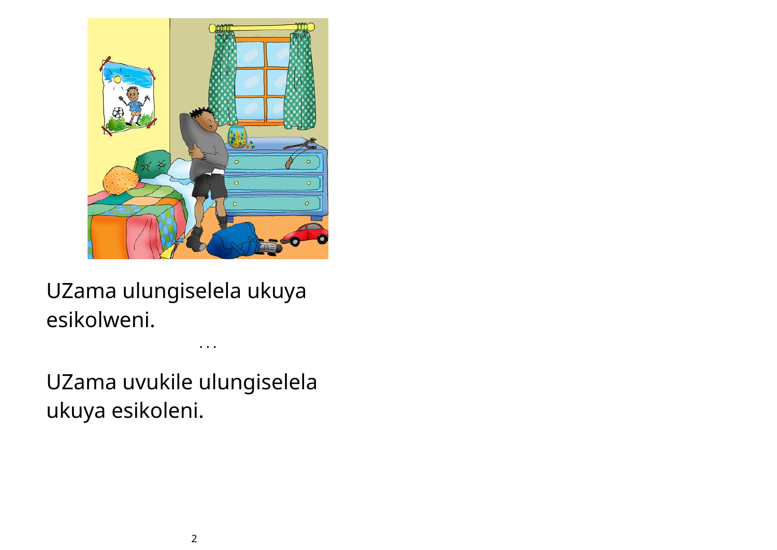

UZama ulungiselela ukuya esikolweni.

UZama uvukile ulungiselela ukuya esikoleni.

• • •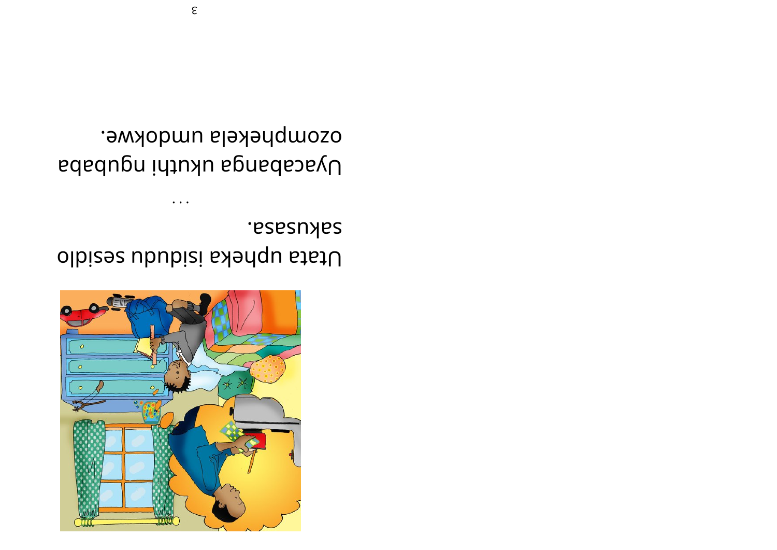

sakusasa. Utata upheka isidudu sesidlo

ozomphekela umdokwe. Dyacabanga ukuthi ngubaba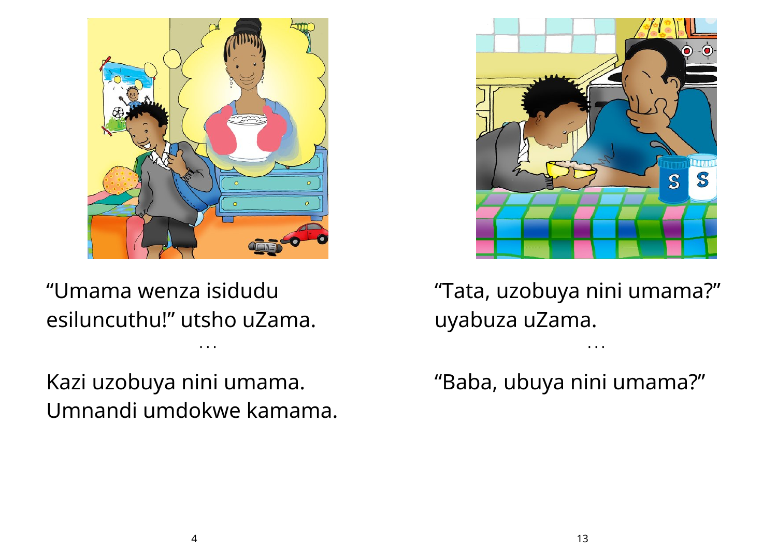

"Umama wenza isidudu esiluncuthu!" utsho uZama.

Kazi uzobuya nini umama. Umnandi umdokwe kamama.

• • •



"Tata, uzobuya nini umama?" uyabuza uZama.

• • •

"Baba, ubuya nini umama?"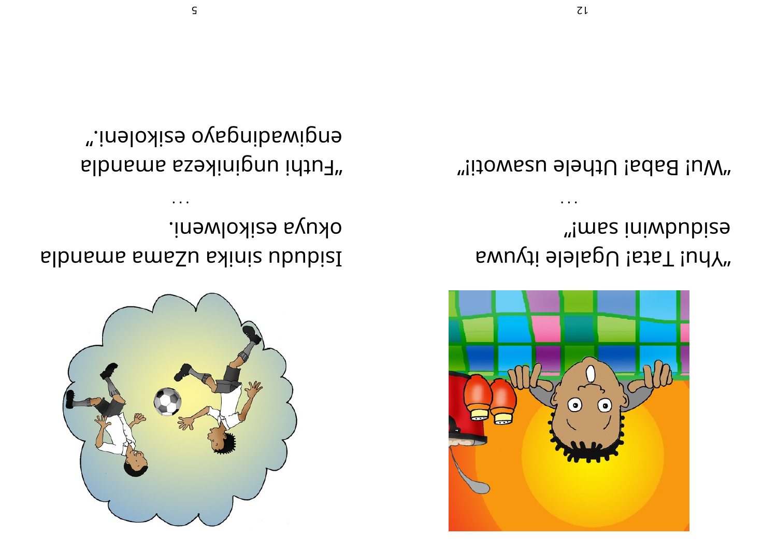

okuya ezikolweni. sibnsms sms. Shinis ububisl

 $\ddot{\phantom{a}}$ 

engiwaqingayo ezikoleni." "Futhi unginikeza amandla



"!mss iniwbubize **EWULT Tata! Ugalele ityuwa** 

"Wu! Baba! Uthele usawoti!"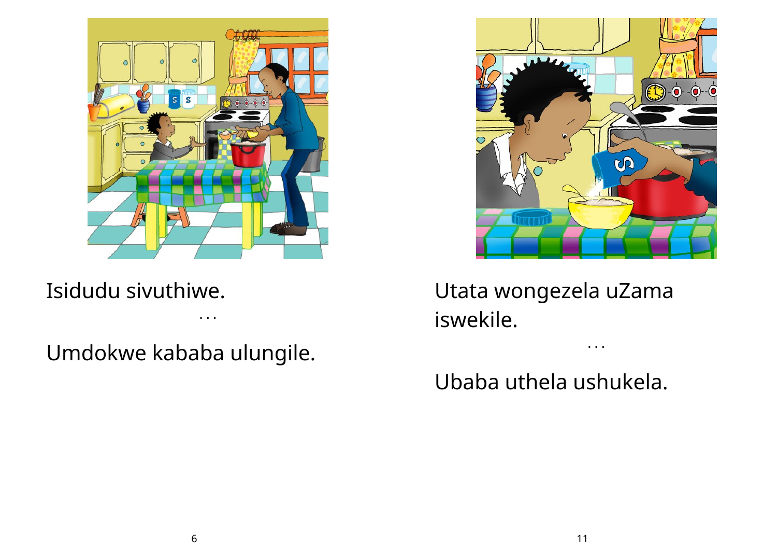

Isidudu sivuthiwe.

• • •

Umdokwe kababa ulungile.



• • •

Utata wongezela uZama iswekile.

Ubaba uthela ushukela.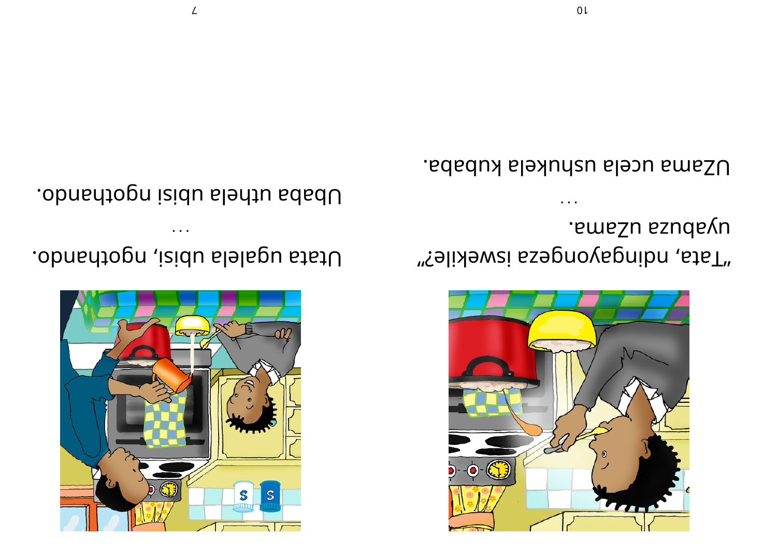

.smsZu ssudsvu "falixewsi ssepnovapnibn , staT"

UZama ucela ushukela kubaba.



Utata ugalela ubisi, ngothando.

Ubaba uthela ubisi ngothando.